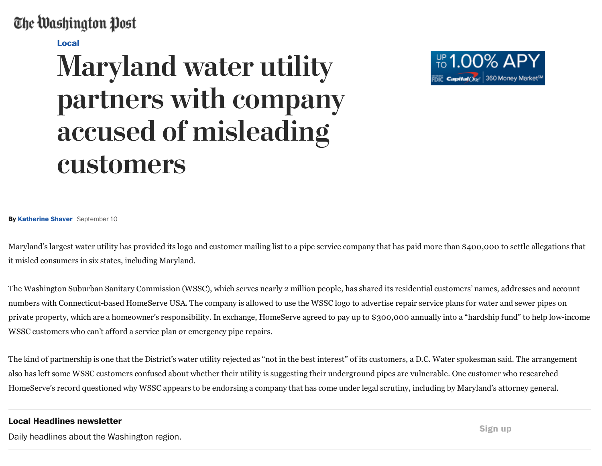## The Washington Post

[Local](https://www.washingtonpost.com/local)

## Maryland water utility partners with company accused of misleading customers



By [Katherine](http://www.washingtonpost.com/people/katherine-shaver) Shaver September 10

Maryland's largest water utility has provided its logo and customer mailing list to a pipe service company that has paid more than \$400,000 to settle allegations that it misled consumers in six states, including Maryland.

The Washington Suburban Sanitary Commission (WSSC), which serves nearly 2 million people, has shared its residential customers' names, addresses and account numbers with Connecticut-based HomeServe USA. The company is allowed to use the WSSC logo to advertise repair service plans for water and sewer pipes on private property, which are a homeowner's responsibility. In exchange, HomeServe agreed to pay up to \$300,000 annually into a "hardship fund" to help lowincome WSSC customers who can't afford a service plan or emergency pipe repairs.

The kind of partnership is one that the District's water utility rejected as "not in the best interest" of its customers, a D.C. Water spokesman said. The arrangement also has left some WSSC customers confused about whether their utility is suggesting their underground pipes are vulnerable. One customer who researched HomeServe's record questioned why WSSC appears to be endorsing a company that has come under legal scrutiny, including by Maryland's attorney general.

## Local Headlines newsletter

Daily headlines about the Washington region.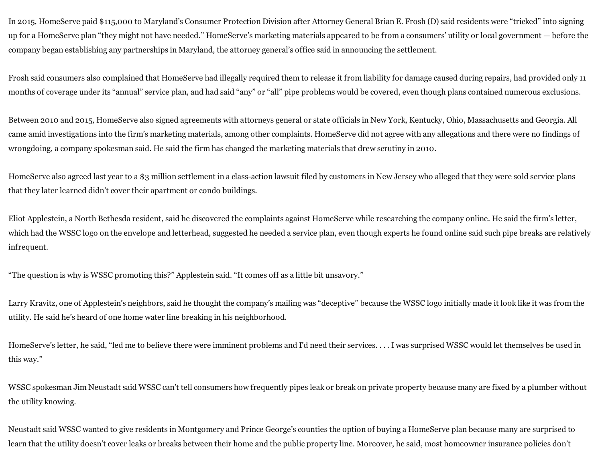In 2015, HomeServe paid \$115,000 to Maryland's Consumer Protection Division after Attorney General Brian E. Frosh (D) said residents were "tricked" into signing up for a HomeServe plan "they might not have needed." HomeServe's marketing materials appeared to be from a consumers' utility or local government — before the company began establishing any partnerships in Maryland, the attorney general's office said in announcing the settlement.

Frosh said consumers also complained that HomeServe had illegally required them to release it from liability for damage caused during repairs, had provided only 11 months of coverage under its "annual" service plan, and had said "any" or "all" pipe problems would be covered, even though plans contained numerous exclusions.

Between 2010 and 2015, HomeServe also signed agreements with attorneys general or state officials in New York, Kentucky, Ohio, Massachusetts and Georgia. All came amid investigations into the firm's marketing materials, among other complaints. HomeServe did not agree with any allegations and there were no findings of wrongdoing, a company spokesman said. He said the firm has changed the marketing materials that drew scrutiny in 2010.

HomeServe also agreed last year to a \$3 million settlement in a class-action lawsuit filed by customers in New Jersey who alleged that they were sold service plans that they later learned didn't cover their apartment or condo buildings.

Eliot Applestein, a North Bethesda resident, said he discovered the complaints against HomeServe while researching the company online. He said the firm's letter, which had the WSSC logo on the envelope and letterhead, suggested he needed a service plan, even though experts he found online said such pipe breaks are relatively infrequent.

"The question is why is WSSC promoting this?" Applestein said. "It comes off as a little bit unsavory."

Larry Kravitz, one of Applestein's neighbors, said he thought the company's mailing was "deceptive" because the WSSC logo initially made it look like it was from the utility. He said he's heard of one home water line breaking in his neighborhood.

HomeServe's letter, he said, "led me to believe there were imminent problems and I'd need their services. . . . I was surprised WSSC would let themselves be used in this way."

WSSC spokesman Jim Neustadt said WSSC can't tell consumers how frequently pipes leak or break on private property because many are fixed by a plumber without the utility knowing.

Neustadt said WSSC wanted to give residents in Montgomery and Prince George's counties the option of buying a HomeServe plan because many are surprised to learn that the utility doesn't cover leaks or breaks between their home and the public property line. Moreover, he said, most homeowner insurance policies don't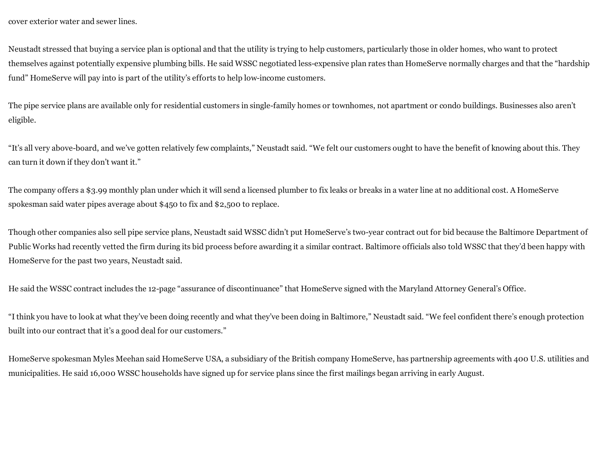cover exterior water and sewer lines.

Neustadt stressed that buying a service plan is optional and that the utility is trying to help customers, particularly those in older homes, who want to protect themselves against potentially expensive plumbing bills. He said WSSC negotiated lessexpensive plan rates than HomeServe normally charges and that the "hardship fund" HomeServe will pay into is part of the utility's efforts to help low-income customers.

The pipe service plans are available only for residential customers in single-family homes or townhomes, not apartment or condo buildings. Businesses also aren't eligible.

"It's all very above-board, and we've gotten relatively few complaints," Neustadt said. "We felt our customers ought to have the benefit of knowing about this. They can turn it down if they don't want it."

The company offers a \$3.99 monthly plan under which it will send a licensed plumber to fix leaks or breaks in a water line at no additional cost. A HomeServe spokesman said water pipes average about \$450 to fix and \$2,500 to replace.

Though other companies also sell pipe service plans, Neustadt said WSSC didn't put HomeServe's two-year contract out for bid because the Baltimore Department of Public Works had recently vetted the firm during its bid process before awarding it a similar contract. Baltimore officials also told WSSC that they'd been happy with HomeServe for the past two years, Neustadt said.

He said the WSSC contract includes the 12-page "assurance of discontinuance" that HomeServe signed with the Maryland Attorney General's Office.

"Ithink you have to look at what they've been doing recently and what they've been doing in Baltimore," Neustadt said. "We feel confident there's enough protection built into our contract that it's a good deal for our customers."

HomeServe spokesman Myles Meehan said HomeServe USA, a subsidiary of the British company HomeServe, has partnership agreements with 400 U.S. utilities and municipalities. He said 16,000 WSSC households have signed up for service plans since the first mailings began arriving in early August.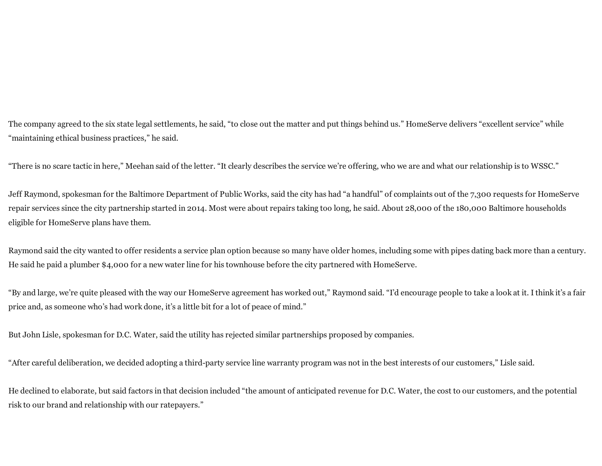The company agreed to the six state legal settlements, he said, "to close out the matter and put things behind us." HomeServe delivers "excellent service" while "maintaining ethical business practices," he said.

"There is no scare tactic in here," Meehan said of the letter. "It clearly describes the service we're offering, who we are and what our relationship is to WSSC."

Jeff Raymond, spokesman for the Baltimore Department of Public Works, said the city has had "a handful" of complaints out of the 7,300 requests for HomeServe repair services since the city partnership started in 2014. Most were about repairs taking too long, he said. About 28,000 of the 180,000 Baltimore households eligible for HomeServe plans have them.

Raymond said the city wanted to offer residents a service plan option because so many have older homes, including some with pipes dating back more than a century. He said he paid a plumber \$4,000 for a new water line for his townhouse before the city partnered with HomeServe.

"By and large, we're quite pleased with the way our HomeServe agreement has worked out," Raymond said. "I'd encourage people to take a look at it. Ithink it's a fair price and, as someone who's had work done, it's a little bit for a lot of peace of mind."

But John Lisle, spokesman for D.C. Water, said the utility has rejected similar partnerships proposed by companies.

"After careful deliberation, we decided adopting a third-party service line warranty program was not in the best interests of our customers," Lisle said.

He declined to elaborate, but said factors in that decision included "the amount of anticipated revenue for D.C. Water, the cost to our customers, and the potential risk to our brand and relationship with our ratepayers."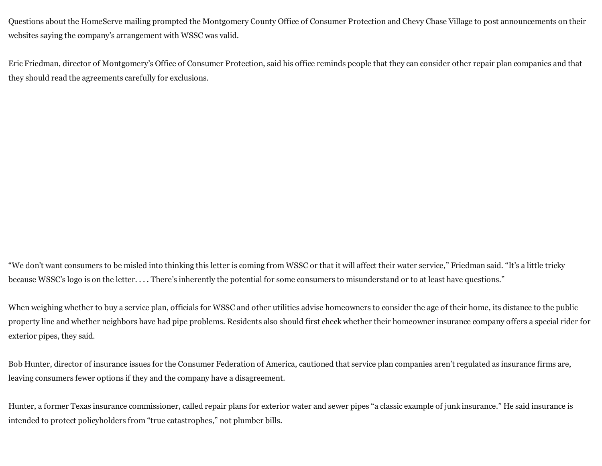Questions about the HomeServe mailing prompted the Montgomery County Office of Consumer Protection and Chevy Chase Village to post announcements on their websites saying the company's arrangement with WSSC was valid.

Eric Friedman, director of Montgomery's Office of Consumer Protection, said his office reminds people that they can consider other repair plan companies and that they should read the agreements carefully for exclusions.

"We don't want consumers to be misled into thinking this letter is coming from WSSC or that it will affect their water service," Friedman said. "It's a little tricky because WSSC's logo is on the letter. . . . There's inherently the potential for some consumers to misunderstand or to at least have questions."

When weighing whether to buy a service plan, officials for WSSC and other utilities advise homeowners to consider the age of their home, its distance to the public property line and whether neighbors have had pipe problems. Residents also should first check whether their homeowner insurance company offers a special rider for exterior pipes, they said.

Bob Hunter, director of insurance issues for the Consumer Federation of America, cautioned that service plan companies aren't regulated as insurance firms are, leaving consumers fewer options if they and the company have a disagreement.

Hunter, a former Texas insurance commissioner, called repair plans for exterior water and sewer pipes "a classic example of junk insurance." He said insurance is intended to protect policyholders from "true catastrophes," not plumber bills.